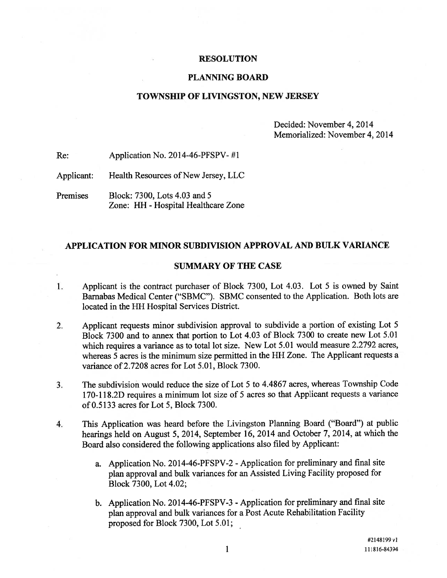#### RESOLUTION

#### PLANNING BOARD

#### TOWNSHIP OF LIVINGSTON, NEW JERSEY

Decided: November 4, 2014 Memorialized: November 4, 2014

Re: Application No. 2014-46-PFSPV- #1

Applicant: Health Resources of New Jersey, LLC

Premises Block: 7300, Lots 4.03 and 5 Zone: HH - Hospital Healthcare Zone

### APPLICATION FOR MINOR SUBDIVISION APPROVAL AND BULK VARIANCE

### SUMMARY OF THE CASE

- Applicant is the contract purchaser of Block 7300, Lot 4.03. Lot <sup>5</sup> is owned by Saint  $1.$ Barnabas Medical Center ("SBMC"). SBMC consented to the Application. Both lots are located in the HH Hospital Services District.
- 2. Applicant requests minor subdivision approva<sup>l</sup> to subdivide <sup>a</sup> portion of existing Lot <sup>5</sup> Block 7300 and to annex that portion to Lot 4.03 of Block 7300 to create new Lot 5.01 which requires a variance as to total lot size. New Lot 5.01 would measure 2.2792 acres, whereas 5 acres is the minimum size permitted in the HH Zone. The Applicant requests <sup>a</sup> variance of 2.7208 acres for Lot 5.01, Block 7300.
- 3. The subdivision would reduce the size of Lot 5 to 4.4867 acres, whereas Township Code 170-118 .2D requires <sup>a</sup> minimum lot size of <sup>5</sup> acres so that Applicant requests <sup>a</sup> variance of 0.5133 acres for Lot 5, Block 7300.
- 4. This Application was heard before the Livingston Planning Board ("Board") at public hearings held on August 5, 2014, September 16, <sup>2014</sup> and October 7, 2014, at which the Board also considered the following applications also filed by Applicant:
	- a. Application No. 2014-46-PFSPV-2 Application for preliminary and final site <sup>p</sup>lan approva<sup>l</sup> and bulk variances for an Assisted Living Facility propose<sup>d</sup> for Block 7300, Lot 4.02;
	- b. Application No. 2014-46-PFSPV-3 Application for preliminary and final site <sup>p</sup>lan approva<sup>l</sup> and bulk variances for <sup>a</sup> Post Acute Rehabilitation Facility proposed for Block 7300, Lot 5.01;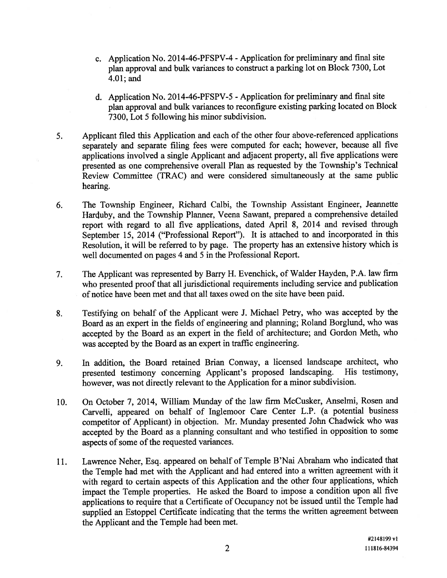- c. Application No. 2014-46-PFSPV-4 -Application for preliminary and final site <sup>p</sup>lan approva<sup>l</sup> and bulk variances to construct <sup>a</sup> parking lot on Block 7300, Lot 4.01; and
- d. Application No. 2014-46-PFSPV-5 -Application for preliminary and final site <sup>p</sup>lan approva<sup>l</sup> and bulk variances to reconfigure existing parking located on Block 7300, Lot 5 following his minor subdivision.
- 5. Applicant filed this Application and each of the other four above-referenced applications separately and separate filing fees were computed for each; however, because all five applications involved <sup>a</sup> single Applicant and adjacent property, all five applications were presented as one comprehensive overall Plan as requested by the Township's Technical Review Committee (TRAC) and were considered simultaneously at the same public hearing.
- 6. The Township Engineer, Richard Calbi, the Township Assistant Engineer, Jeannette Harduby, and the Township Planner, Veena Sawant, prepared a comprehensive detailed repor<sup>t</sup> with regar<sup>d</sup> to all five applications, dated April 8, <sup>2014</sup> and revised through September 15, <sup>2014</sup> ("Professional Report"). It is attached to and incorporated in this Resolution, it will be referred to by page. The property has an extensive history which is well documented on pages 4 and 5 in the Professional Report.
- 7. The Applicant was represented by Barry H. Evenchick, of Walder Hayden, P.A. law firm who presented proo<sup>f</sup> that all jurisdictional requirements including service and publication of notice have been met and that all taxes owed on the site have been paid.
- 8. Testifying on behalf of the Applicant were J. Michael Petry, who was accepted by the Board as an exper<sup>t</sup> in the fields of engineering and <sup>p</sup>lanning; Roland Borglund, who was accepted by the Board as an exper<sup>t</sup> in the field of architecture; and Gordon Meth, who was accepted by the Board as an exper<sup>t</sup> in traffic engineering.
- 9. In addition, the Board retained Brian Conway, <sup>a</sup> licensed landscape architect, who presented testimony concerning Applicant's propose<sup>d</sup> landscaping. His testimony, however, was not directly relevant to the Application for <sup>a</sup> minor subdivision.
- 10. On October 7, 2014, William Munday of the law firm McCusker, Anselmi, Rosen and Carvelli, appeare<sup>d</sup> on behalf of Inglemoor Care Center L.P. (a potential business competitor of Applicant) in objection. Mr. Munday presented John Chadwick who was accepted by the Board as <sup>a</sup> <sup>p</sup>lanning consultant and who testified in opposition to some aspects of some of the requested variances.
- 11. Lawrence Neher, Esq. appeare<sup>d</sup> on behalf of Temple B'Nai Abraham who indicated that the Temple had met with the Applicant and had entered into <sup>a</sup> written agreemen<sup>t</sup> with it with regar<sup>d</sup> to certain aspects of this Application and the other four applications, which impact the Temple properties. He asked the Board to impose <sup>a</sup> condition upon all five applications to require that <sup>a</sup> Certificate of Occupancy not be issued until the Temple had supplied an Estoppel Certificate indicating that the terms the written agreemen<sup>t</sup> between the Applicant and the Temple had been met.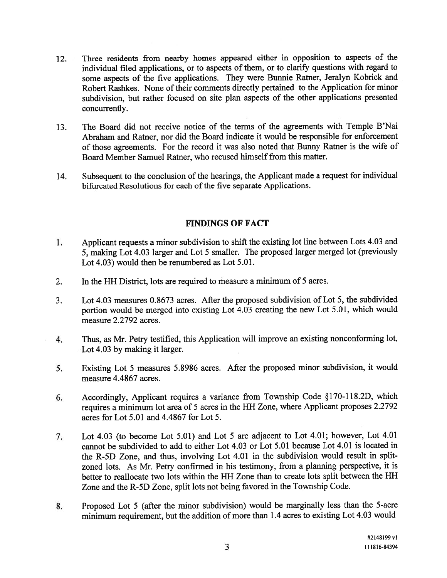- 12. Three residents from nearby homes appeare<sup>d</sup> either in opposition to aspects of the individual filed applications, or to aspects of them, or to clarify questions with regar<sup>d</sup> to some aspects of the five applications. They were Bunnie Ratner, Jeralyn Kobrick and Robert Rashkes. None of their comments directly pertained to the Application for minor subdivision, but rather focused on site <sup>p</sup>lan aspects of the other applications presented concurrently.
- 13. The Board did not receive notice of the terms of the agreements with Temple B'Nai Abraham and Ratner, nor did the Board indicate it would be responsible for enforcement of those agreements. For the record it was also noted that Bunny Ratner is the wife of Board Member Samuel Ratner, who recused himself from this matter.
- 14. Subsequent to the conclusion of the hearings, the Applicant made <sup>a</sup> reques<sup>t</sup> for individual bifurcated Resolutions for each of the five separate Applications.

# FINDINGS OF FACT

- 1. Applicant requests <sup>a</sup> minor subdivision to shift the existing lot line between Lots 4.03 and 5, making Lot 4.03 larger and Lot <sup>5</sup> smaller. The propose<sup>d</sup> larger merge<sup>d</sup> lot (previously Lot 4.03) would then be renumbered as Lot 5.01.
- 2. In the HH District, lots are required to measure <sup>a</sup> minimum of 5 acres.
- 3. Lot 4.03 measures 0.8673 acres. After the proposed subdivision of Lot 5, the subdivided portion would be merge<sup>d</sup> into existing Lot 4.03 creating the new Lot 5.01, which would measure 2.2792 acres.
- 4. Thus, as Mr. Petry testified, this Application will improve an existing nonconforming lot, Lot 4.03 by making it larger.
- 5. Existing Lot <sup>5</sup> measures 5.8986 acres. After the propose<sup>d</sup> minor subdivision, it would measure 4.4867 acres.
- 6. Accordingly, Applicant requires <sup>a</sup> variance from Township Code §170-118.2D, which requires <sup>a</sup> minimum lot area of <sup>5</sup> acres in the HH Zone, where Applicant proposes 2.2792 acres for Lot 5.01 and 4.4867 for Lot 5.
- 7. Lot 4.03 (to become Lot 5.01) and Lot <sup>5</sup> are adjacent to Lot 4.01; however, Lot 4.01 cannot be subdivided to add to either Lot 4.03 or Lot 5.01 because Lot 4.01 is located in the R-5D Zone, and thus, involving Lot 4.01 in the subdivision would result in splitzoned lots. As Mr. Petry confirmed in his testimony, from <sup>a</sup> <sup>p</sup>lanning perspective, it is better to reallocate two lots within the HR Zone than to create lots split between the HR Zone and the R-5D Zone, split lots not being favored in the Township Code.
- 8. Proposed Lot <sup>5</sup> (after the minor subdivision) would be marginally less than the 5-acre minimum requirement, but the addition of more than 1.4 acres to existing Lot 4.03 would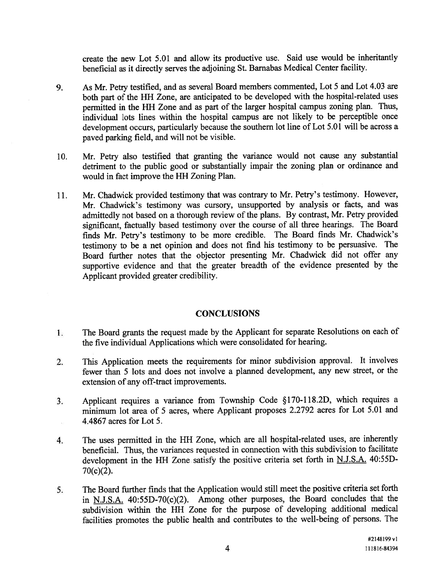create the new Lot 5.01 and allow its productive use. Said use would be inheritantly beneficial as it directly serves the adjoining St. Barnabas Medical Center facility.

- 9. As Mr. Petry testified, and as several Board members commented, Lot <sup>5</sup> and Lot 4.03 are both par<sup>t</sup> of the HH Zone, are anticipated to be developed with the hospital-related uses permitted in the HH Zone and as par<sup>t</sup> of the larger hospital campus zoning <sup>p</sup>lan. Thus, individual lots lines within the hospital campus are not likely to be perceptible once development occurs, particularly because the southern lot line of Lot 5.01 will be across <sup>a</sup> paved parking field, and will not be visible.
- 10. Mr. Petry also testified that granting the variance would not cause any substantial detriment to the public goo<sup>d</sup> or substantially impair the zoning <sup>p</sup>lan or ordinance and would in fact improve the HH Zoning Plan.
- 11. Mr. Chadwick provided testimony that was contrary to Mr. Petry's testimony. However, Mr. Chadwick's testimony was cursory, unsupported by analysis or facts, and was admittedly not based on a thorough review of the plans. By contrast, Mr. Petry provided significant, factually based testimony over the course of all three hearings. The Board finds Mr. Petry's testimony to be more credible. The Board finds Mr. Chadwick's testimony to be <sup>a</sup> net opinion and does not find his testimony to be persuasive. The Board further notes that the objector presenting Mr. Chadwick did not offer any supportive evidence and that the greater breadth of the evidence presented by the Applicant provided greater credibility.

## **CONCLUSIONS**

- The Board grants the reques<sup>t</sup> made by the Applicant for separate Resolutions on each of 1. the five individual Applications which were consolidated for hearing.
- 2. This Application meets the requirements for minor subdivision approval. It involves fewer than 5 lots and does not involve <sup>a</sup> <sup>p</sup>lanned development, any new street, or the extension of any off-tract improvements.
- 3. Applicant requires <sup>a</sup> variance from Township Code § 170-118 .2D, which requires <sup>a</sup> minimum lot area of 5 acres, where Applicant proposes 2.2792 acres for Lot 5.01 and 4.4867 acres for Lot 5.
- 4. The uses permitted in the HH Zone, which are all hospital-related uses, are inherently beneficial. Thus, the variances requested in connection with this subdivision to facilitate development in the HH Zone satisfy the positive criteria set forth in N.J.S.A. 40:55D-70(c)(2).
- 5. The Board further finds that the Application would still meet the positive criteria set forth in N.J.S.A. 40:55D-70(c)(2). Among other purposes, the Board concludes that the subdivision within the HH Zone for the purpose of developing additional medical facilities promotes the public health and contributes to the well-being of persons. The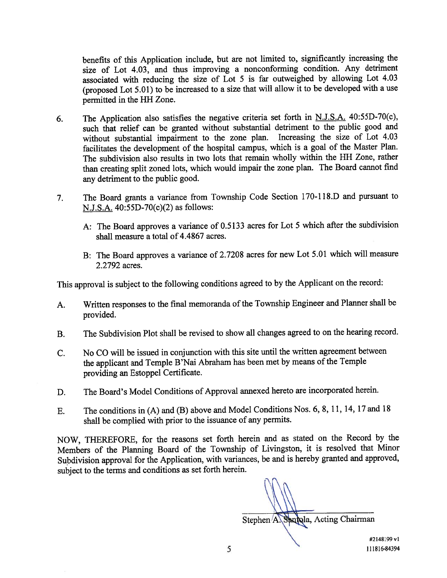benefits of this Application include, but are not limited to, significantly increasing the size of Lot 4.03, and thus improving a nonconforming condition. Any detriment associated with reducing the size of Lot <sup>5</sup> is far outweighed by allowing Lot 4.03 (proposed Lot 5.01) to be increased to <sup>a</sup> size that will allow it to be developed with <sup>a</sup> use permitted in the HH Zone.

- 6. The Application also satisfies the negative criteria set forth in N.J.S.A. 40:55D-70(c), such that relief can be granted without substantial detriment to the public goo<sup>d</sup> and without substantial impairment to the zone <sup>p</sup>lan. Increasing the size of Lot 4.03 facilitates the development of the hospital campus, which is <sup>a</sup> goa<sup>l</sup> of the Master Plan. The subdivision also results in two lots that remain wholly within the HR Zone, rather than creating split zoned lots, which would impair the zone <sup>p</sup>lan. The Board cannot find any detriment to the public good.
- 7. The Board grants <sup>a</sup> variance from Township Code Section 170-118.D and pursuan<sup>t</sup> to N.J.S.A. 40:55D-70(c)(2) as follows:
	- A: The Board approves <sup>a</sup> variance of 0.5 <sup>133</sup> acres for Lot <sup>5</sup> which after the subdivision shall measure <sup>a</sup> total of 4.4867 acres.
	- B: The Board approves <sup>a</sup> variance of 2.7208 acres for new Lot 5.01 which will measure 2.2792 acres.

This approva<sup>l</sup> is subject to the following conditions agree<sup>d</sup> to by the Applicant on the record:

- A. Written responses to the final memoranda of the Township Engineer and Planner shall be provided.
- B. The Subdivision Plot shall be revised to show all changes agreed to on the hearing record.
- C. No CO will be issued in conjunction with this site until the written agreemen<sup>t</sup> between the applicant and Temple B'Nai Abraham has been met by means of the Temple providing an Estoppel Certificate.
- D. The Board's Model Conditions of Approval annexed hereto are incorporated herein.
- E. The conditions in (A) and (B) above and Model Conditions Nos. 6, 8, 11, 14, <sup>17</sup> and <sup>18</sup> shall be complied with prior to the issuance of any permits.

NOW, THEREFORE, for the reasons set forth herein and as stated on the Record by the Members of the Planning Board of the Township of Livingston, it is resolved that Minor Subdivision approva<sup>l</sup> for the Application, with variances, be and is hereby granted and approved, subject to the terms and conditions as set forth herein.

Stephen A. Sangla, Acting Chairman